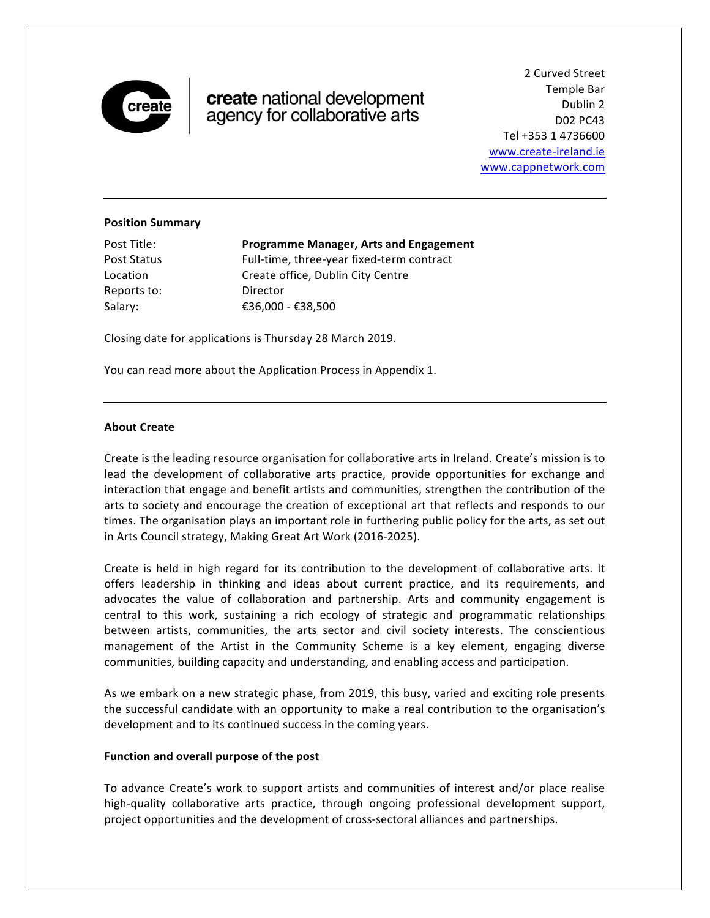

# create national development agency for collaborative arts

2 Curved Street Temple Bar Dublin 2 D02 PC43 Tel +353 1 4736600 www.create-ireland.ie www.cappnetwork.com

#### **Position Summary**

| Post Title: | <b>Programme Manager, Arts and Engagement</b> |
|-------------|-----------------------------------------------|
| Post Status | Full-time, three-year fixed-term contract     |
| Location    | Create office, Dublin City Centre             |
| Reports to: | Director                                      |
| Salary:     | €36,000 - €38,500                             |

Closing date for applications is Thursday 28 March 2019.

You can read more about the Application Process in Appendix 1.

#### **About Create**

Create is the leading resource organisation for collaborative arts in Ireland. Create's mission is to lead the development of collaborative arts practice, provide opportunities for exchange and interaction that engage and benefit artists and communities, strengthen the contribution of the arts to society and encourage the creation of exceptional art that reflects and responds to our times. The organisation plays an important role in furthering public policy for the arts, as set out in Arts Council strategy, Making Great Art Work (2016-2025).

Create is held in high regard for its contribution to the development of collaborative arts. It offers leadership in thinking and ideas about current practice, and its requirements, and advocates the value of collaboration and partnership. Arts and community engagement is central to this work, sustaining a rich ecology of strategic and programmatic relationships between artists, communities, the arts sector and civil society interests. The conscientious management of the Artist in the Community Scheme is a key element, engaging diverse communities, building capacity and understanding, and enabling access and participation.

As we embark on a new strategic phase, from 2019, this busy, varied and exciting role presents the successful candidate with an opportunity to make a real contribution to the organisation's development and to its continued success in the coming years.

#### Function and overall purpose of the post

To advance Create's work to support artists and communities of interest and/or place realise high-quality collaborative arts practice, through ongoing professional development support, project opportunities and the development of cross-sectoral alliances and partnerships.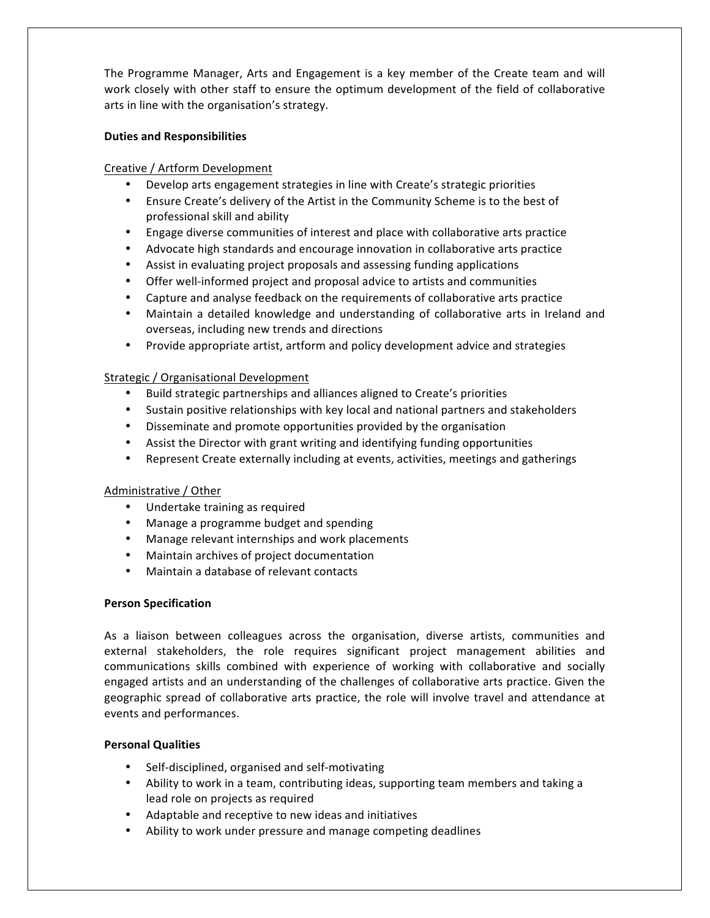The Programme Manager, Arts and Engagement is a key member of the Create team and will work closely with other staff to ensure the optimum development of the field of collaborative arts in line with the organisation's strategy.

## **Duties and Responsibilities**

# Creative / Artform Development

- Develop arts engagement strategies in line with Create's strategic priorities
- Ensure Create's delivery of the Artist in the Community Scheme is to the best of professional skill and ability
- Engage diverse communities of interest and place with collaborative arts practice
- Advocate high standards and encourage innovation in collaborative arts practice
- Assist in evaluating project proposals and assessing funding applications
- Offer well-informed project and proposal advice to artists and communities
- Capture and analyse feedback on the requirements of collaborative arts practice
- Maintain a detailed knowledge and understanding of collaborative arts in Ireland and overseas, including new trends and directions
- Provide appropriate artist, artform and policy development advice and strategies

#### Strategic / Organisational Development

- Build strategic partnerships and alliances aligned to Create's priorities
- Sustain positive relationships with key local and national partners and stakeholders
- Disseminate and promote opportunities provided by the organisation
- Assist the Director with grant writing and identifying funding opportunities
- Represent Create externally including at events, activities, meetings and gatherings

# Administrative / Other

- Undertake training as required
- Manage a programme budget and spending
- Manage relevant internships and work placements
- Maintain archives of project documentation
- Maintain a database of relevant contacts

# **Person Specification**

As a liaison between colleagues across the organisation, diverse artists, communities and external stakeholders, the role requires significant project management abilities and communications skills combined with experience of working with collaborative and socially engaged artists and an understanding of the challenges of collaborative arts practice. Given the geographic spread of collaborative arts practice, the role will involve travel and attendance at events and performances.

# **Personal Qualities**

- Self-disciplined, organised and self-motivating
- Ability to work in a team, contributing ideas, supporting team members and taking a lead role on projects as required
- Adaptable and receptive to new ideas and initiatives
- Ability to work under pressure and manage competing deadlines